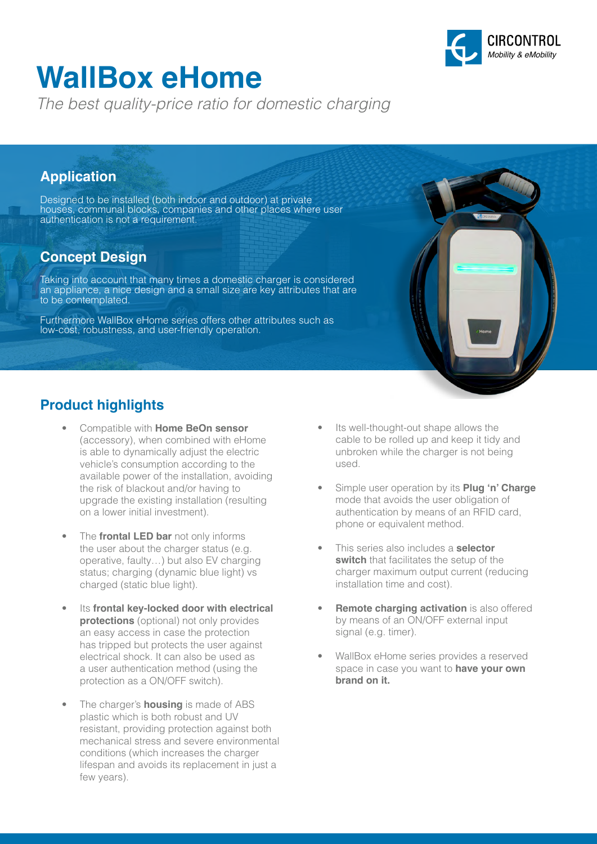

# **WallBox eHome**

*The best quality-price ratio for domestic charging*

### **Application**

Designed to be installed (both indoor and outdoor) at private houses, communal blocks, companies and other places where user authentication is not a requirement.

### **Concept Design**

Taking into account that many times a domestic charger is considered an appliance, a nice design and a small size are key attributes that are to be contemplated.

Furthermore WallBox eHome series offers other attributes such as low-cost, robustness, and user-friendly operation.

### **Product highlights**

- Compatible with **Home BeOn sensor** (accessory), when combined with eHome is able to dynamically adjust the electric vehicle's consumption according to the available power of the installation, avoiding the risk of blackout and/or having to upgrade the existing installation (resulting on a lower initial investment).
- The **frontal LED bar** not only informs the user about the charger status (e.g. operative, faulty…) but also EV charging status; charging (dynamic blue light) vs charged (static blue light).
- Its **frontal key-locked door with electrical protections** (optional) not only provides an easy access in case the protection has tripped but protects the user against electrical shock. It can also be used as a user authentication method (using the protection as a ON/OFF switch).
- The charger's **housing** is made of ABS plastic which is both robust and UV resistant, providing protection against both mechanical stress and severe environmental conditions (which increases the charger lifespan and avoids its replacement in just a few years).
- Its well-thought-out shape allows the cable to be rolled up and keep it tidy and unbroken while the charger is not being used.
- Simple user operation by its **Plug 'n' Charge** mode that avoids the user obligation of authentication by means of an RFID card, phone or equivalent method.
- This series also includes a **selector switch** that facilitates the setup of the charger maximum output current (reducing installation time and cost).
- **Remote charging activation** is also offered by means of an ON/OFF external input signal (e.g. timer).
- WallBox eHome series provides a reserved space in case you want to **have your own brand on it.**